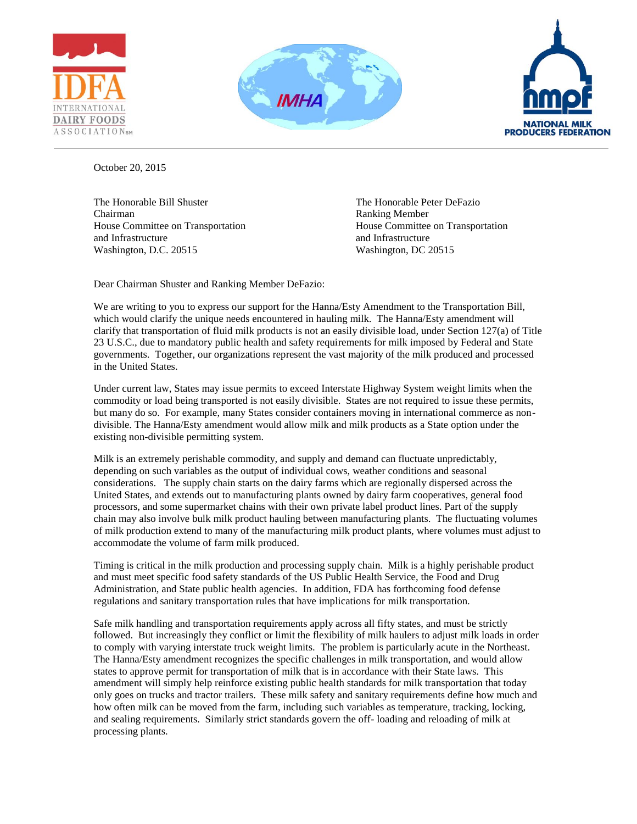





October 20, 2015

The Honorable Bill Shuster The Honorable Peter DeFazio Chairman **Ranking Member** Ranking Member and Infrastructure and Infrastructure and Infrastructure Washington, D.C. 20515 Washington, D.C. 20515

House Committee on Transportation House Committee on Transportation

Dear Chairman Shuster and Ranking Member DeFazio:

We are writing to you to express our support for the Hanna/Esty Amendment to the Transportation Bill, which would clarify the unique needs encountered in hauling milk. The Hanna/Esty amendment will clarify that transportation of fluid milk products is not an easily divisible load, under Section 127(a) of Title 23 U.S.C., due to mandatory public health and safety requirements for milk imposed by Federal and State governments. Together, our organizations represent the vast majority of the milk produced and processed in the United States.

Under current law, States may issue permits to exceed Interstate Highway System weight limits when the commodity or load being transported is not easily divisible. States are not required to issue these permits, but many do so. For example, many States consider containers moving in international commerce as nondivisible. The Hanna/Esty amendment would allow milk and milk products as a State option under the existing non-divisible permitting system.

Milk is an extremely perishable commodity, and supply and demand can fluctuate unpredictably, depending on such variables as the output of individual cows, weather conditions and seasonal considerations. The supply chain starts on the dairy farms which are regionally dispersed across the United States, and extends out to manufacturing plants owned by dairy farm cooperatives, general food processors, and some supermarket chains with their own private label product lines. Part of the supply chain may also involve bulk milk product hauling between manufacturing plants. The fluctuating volumes of milk production extend to many of the manufacturing milk product plants, where volumes must adjust to accommodate the volume of farm milk produced.

Timing is critical in the milk production and processing supply chain. Milk is a highly perishable product and must meet specific food safety standards of the US Public Health Service, the Food and Drug Administration, and State public health agencies. In addition, FDA has forthcoming food defense regulations and sanitary transportation rules that have implications for milk transportation.

Safe milk handling and transportation requirements apply across all fifty states, and must be strictly followed. But increasingly they conflict or limit the flexibility of milk haulers to adjust milk loads in order to comply with varying interstate truck weight limits. The problem is particularly acute in the Northeast. The Hanna/Esty amendment recognizes the specific challenges in milk transportation, and would allow states to approve permit for transportation of milk that is in accordance with their State laws. This amendment will simply help reinforce existing public health standards for milk transportation that today only goes on trucks and tractor trailers. These milk safety and sanitary requirements define how much and how often milk can be moved from the farm, including such variables as temperature, tracking, locking, and sealing requirements. Similarly strict standards govern the off- loading and reloading of milk at processing plants.